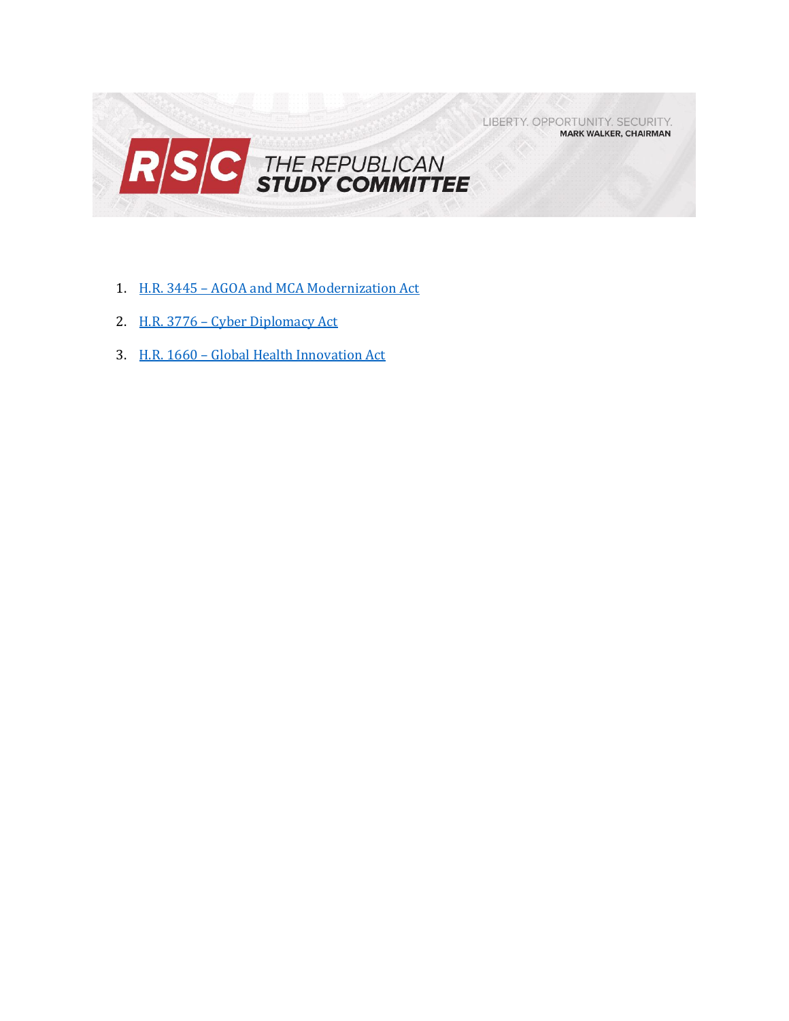LIBERTY. OPPORTUNITY. SECURITY. **MARK WALKER, CHAIRMAN** 



- 1. H.R. 3445 [AGOA and MCA Modernization Act](#page-1-0)
- 2. H.R. 3776 [Cyber Diplomacy Act](#page-3-0)
- 3. H.R. 1660 [Global Health Innovation Act](#page-5-0)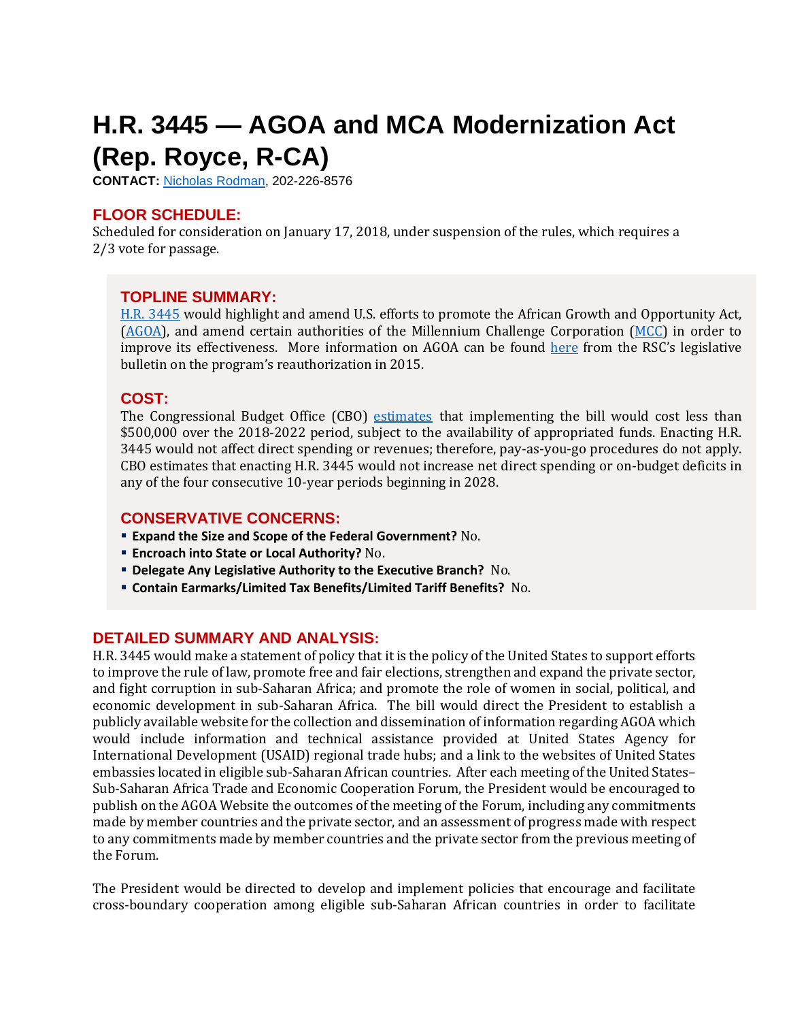## <span id="page-1-0"></span>**H.R. 3445 — AGOA and MCA Modernization Act (Rep. Royce, R-CA)**

**CONTACT:** [Nicholas Rodman,](mailto:nicholas.rodman@mail.house.gov) 202-226-8576

## **FLOOR SCHEDULE:**

Scheduled for consideration on January 17, 2018, under suspension of the rules, which requires a 2/3 vote for passage.

## **TOPLINE SUMMARY:**

[H.R. 3445](http://docs.house.gov/billsthisweek/20180115/HR3445.pdf) would highlight and amend U.S. efforts to promote the African Growth and Opportunity Act, [\(AGOA\)](https://www.trade.gov/agoa/), and amend certain authorities of the Millennium Challenge Corporation [\(MCC\)](https://www.mcc.gov/) in order to improve its effectiveness. More information on AGOA can be found [here](http://rsc-walker.house.gov/files/2015LB/RSC_Legislative_Bulletin_House_Amendment_to_the_Senate_Amendment_to_H_R_1295_the_Trade_Preferences_Extension_Act_June_11_2015.pdf) from the RSC's legislative bulletin on the program's reauthorization in 2015.

## **COST:**

The Congressional Budget Office (CBO) [estimates](https://www.cbo.gov/system/files/115th-congress-2017-2018/costestimate/hr3445.pdf) that implementing the bill would cost less than \$500,000 over the 2018-2022 period, subject to the availability of appropriated funds. Enacting H.R. 3445 would not affect direct spending or revenues; therefore, pay-as-you-go procedures do not apply. CBO estimates that enacting H.R. 3445 would not increase net direct spending or on-budget deficits in any of the four consecutive 10-year periods beginning in 2028.

## **CONSERVATIVE CONCERNS:**

- **Expand the Size and Scope of the Federal Government?** No.
- **Encroach into State or Local Authority?** No.
- **Delegate Any Legislative Authority to the Executive Branch?** No.
- **Contain Earmarks/Limited Tax Benefits/Limited Tariff Benefits?** No.

## **DETAILED SUMMARY AND ANALYSIS:**

H.R. 3445 would make a statement of policy that it is the policy of the United States to support efforts to improve the rule of law, promote free and fair elections, strengthen and expand the private sector, and fight corruption in sub-Saharan Africa; and promote the role of women in social, political, and economic development in sub-Saharan Africa. The bill would direct the President to establish a publicly available website for the collection and dissemination of information regarding AGOA which would include information and technical assistance provided at United States Agency for International Development (USAID) regional trade hubs; and a link to the websites of United States embassies located in eligible sub-Saharan African countries. After each meeting of the United States– Sub-Saharan Africa Trade and Economic Cooperation Forum, the President would be encouraged to publish on the AGOA Website the outcomes of the meeting of the Forum, including any commitments made by member countries and the private sector, and an assessment of progress made with respect to any commitments made by member countries and the private sector from the previous meeting of the Forum.

The President would be directed to develop and implement policies that encourage and facilitate cross-boundary cooperation among eligible sub-Saharan African countries in order to facilitate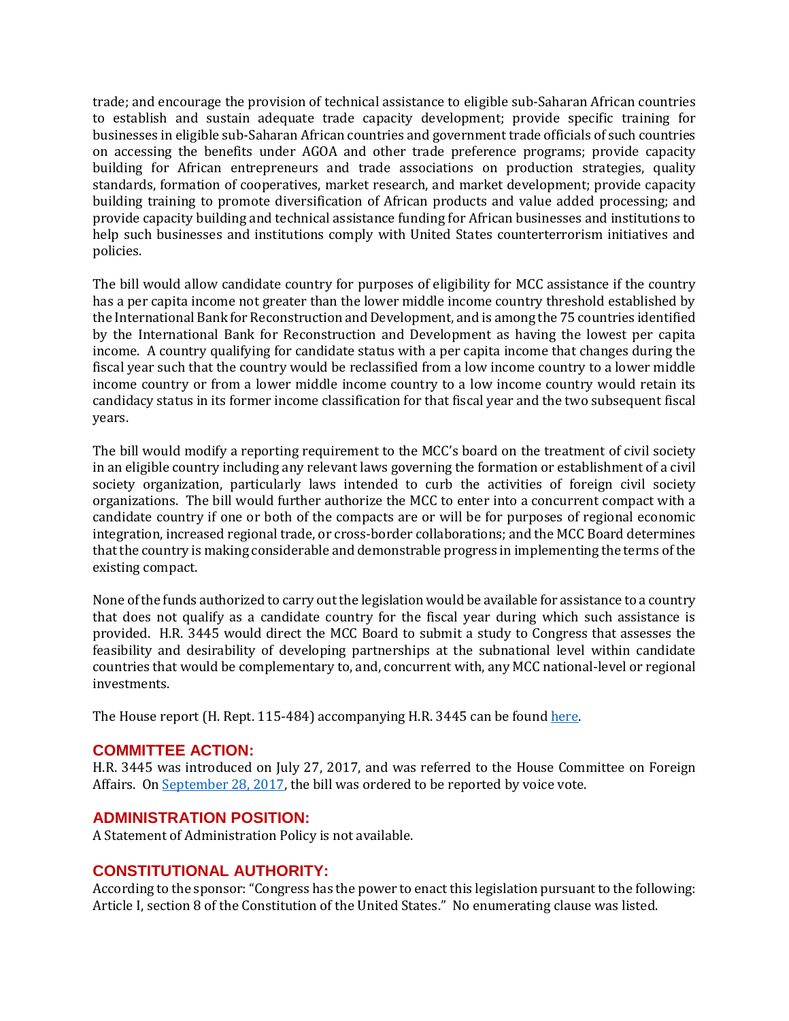trade; and encourage the provision of technical assistance to eligible sub-Saharan African countries to establish and sustain adequate trade capacity development; provide specific training for businesses in eligible sub-Saharan African countries and government trade officials of such countries on accessing the benefits under AGOA and other trade preference programs; provide capacity building for African entrepreneurs and trade associations on production strategies, quality standards, formation of cooperatives, market research, and market development; provide capacity building training to promote diversification of African products and value added processing; and provide capacity building and technical assistance funding for African businesses and institutions to help such businesses and institutions comply with United States counterterrorism initiatives and policies.

The bill would allow candidate country for purposes of eligibility for MCC assistance if the country has a per capita income not greater than the lower middle income country threshold established by the International Bank for Reconstruction and Development, and is among the 75 countries identified by the International Bank for Reconstruction and Development as having the lowest per capita income. A country qualifying for candidate status with a per capita income that changes during the fiscal year such that the country would be reclassified from a low income country to a lower middle income country or from a lower middle income country to a low income country would retain its candidacy status in its former income classification for that fiscal year and the two subsequent fiscal years.

The bill would modify a reporting requirement to the MCC's board on the treatment of civil society in an eligible country including any relevant laws governing the formation or establishment of a civil society organization, particularly laws intended to curb the activities of foreign civil society organizations. The bill would further authorize the MCC to enter into a concurrent compact with a candidate country if one or both of the compacts are or will be for purposes of regional economic integration, increased regional trade, or cross-border collaborations; and the MCC Board determines that the country is making considerable and demonstrable progress in implementing the terms of the existing compact.

None of the funds authorized to carry out the legislation would be available for assistance to a country that does not qualify as a candidate country for the fiscal year during which such assistance is provided. H.R. 3445 would direct the MCC Board to submit a study to Congress that assesses the feasibility and desirability of developing partnerships at the subnational level within candidate countries that would be complementary to, and, concurrent with, any MCC national-level or regional investments.

The House report (H. Rept. 115-484) accompanying H.R. 3445 can be found [here.](https://www.gpo.gov/fdsys/pkg/CRPT-115hrpt484/pdf/CRPT-115hrpt484.pdf)

## **COMMITTEE ACTION:**

H.R. 3445 was introduced on July 27, 2017, and was referred to the House Committee on Foreign Affairs. On [September 28,](https://foreignaffairs.house.gov/markup/markup-h-res-422-h-r-425-h-r-1196-h-r-2658-h-r-3320-h-r-3329-h-r-3342-h-r-3445/) 2017, the bill was ordered to be reported by voice vote.

## **ADMINISTRATION POSITION:**

A Statement of Administration Policy is not available.

## **CONSTITUTIONAL AUTHORITY:**

According to the sponsor: "Congress has the power to enact this legislation pursuant to the following: Article I, section 8 of the Constitution of the United States." No enumerating clause was listed.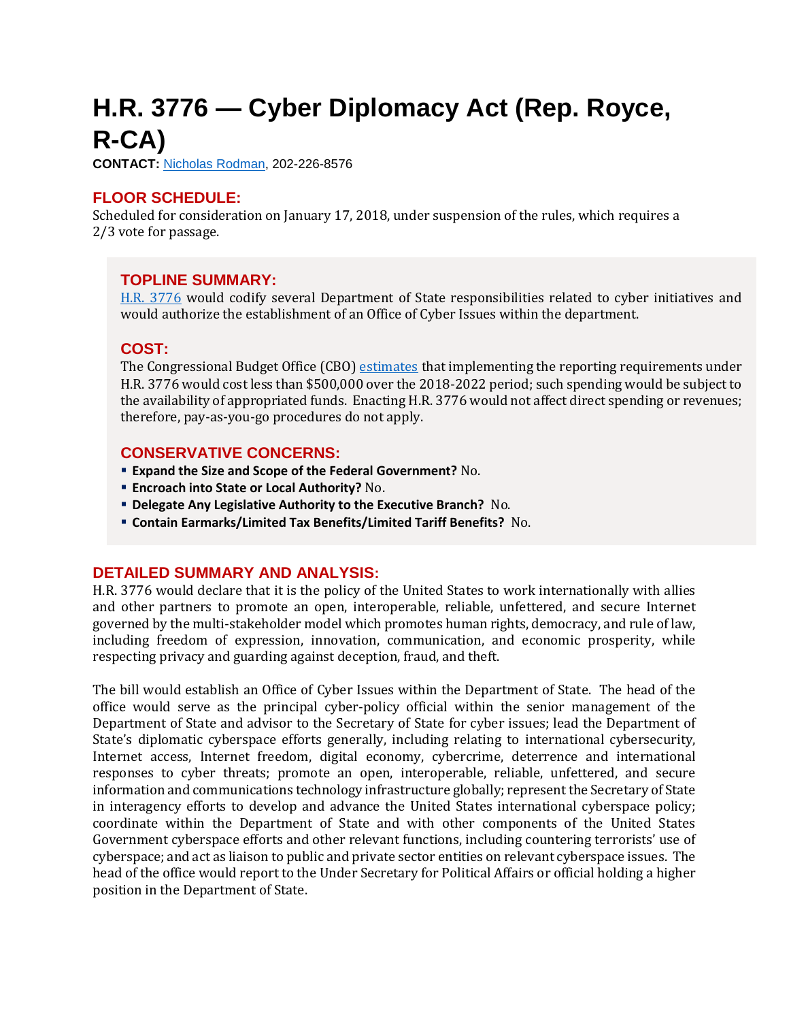# <span id="page-3-0"></span>**H.R. 3776 — Cyber Diplomacy Act (Rep. Royce, R-CA)**

**CONTACT:** [Nicholas Rodman,](mailto:nicholas.rodman@mail.house.gov) 202-226-8576

## **FLOOR SCHEDULE:**

Scheduled for consideration on January 17, 2018, under suspension of the rules, which requires a 2/3 vote for passage.

## **TOPLINE SUMMARY:**

[H.R. 3776](http://docs.house.gov/billsthisweek/20180115/HR3776.pdf) would codify several Department of State responsibilities related to cyber initiatives and would authorize the establishment of an Office of Cyber Issues within the department.

## **COST:**

The Congressional Budget Office (CBO) [estimates](https://www.cbo.gov/system/files/115th-congress-2017-2018/costestimate/hr3776.pdf) that implementing the reporting requirements under H.R. 3776 would cost less than \$500,000 over the 2018-2022 period; such spending would be subject to the availability of appropriated funds. Enacting H.R. 3776 would not affect direct spending or revenues; therefore, pay-as-you-go procedures do not apply.

#### **CONSERVATIVE CONCERNS:**

- **Expand the Size and Scope of the Federal Government?** No.
- **Encroach into State or Local Authority?** No.
- **Delegate Any Legislative Authority to the Executive Branch?** No.
- **Contain Earmarks/Limited Tax Benefits/Limited Tariff Benefits?** No.

#### **DETAILED SUMMARY AND ANALYSIS:**

H.R. 3776 would declare that it is the policy of the United States to work internationally with allies and other partners to promote an open, interoperable, reliable, unfettered, and secure Internet governed by the multi-stakeholder model which promotes human rights, democracy, and rule of law, including freedom of expression, innovation, communication, and economic prosperity, while respecting privacy and guarding against deception, fraud, and theft.

The bill would establish an Office of Cyber Issues within the Department of State. The head of the office would serve as the principal cyber-policy official within the senior management of the Department of State and advisor to the Secretary of State for cyber issues; lead the Department of State's diplomatic cyberspace efforts generally, including relating to international cybersecurity, Internet access, Internet freedom, digital economy, cybercrime, deterrence and international responses to cyber threats; promote an open, interoperable, reliable, unfettered, and secure information and communications technology infrastructure globally; represent the Secretary of State in interagency efforts to develop and advance the United States international cyberspace policy; coordinate within the Department of State and with other components of the United States Government cyberspace efforts and other relevant functions, including countering terrorists' use of cyberspace; and act as liaison to public and private sector entities on relevant cyberspace issues. The head of the office would report to the Under Secretary for Political Affairs or official holding a higher position in the Department of State.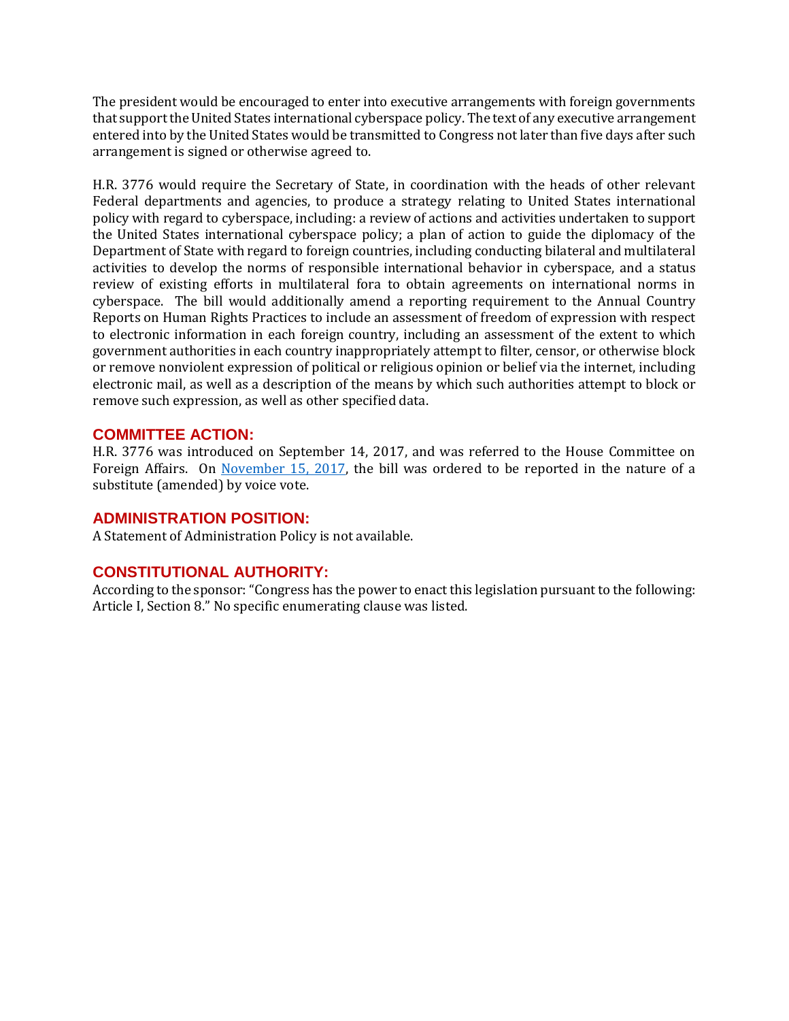The president would be encouraged to enter into executive arrangements with foreign governments that support the United States international cyberspace policy. The text of any executive arrangement entered into by the United States would be transmitted to Congress not later than five days after such arrangement is signed or otherwise agreed to.

H.R. 3776 would require the Secretary of State, in coordination with the heads of other relevant Federal departments and agencies, to produce a strategy relating to United States international policy with regard to cyberspace, including: a review of actions and activities undertaken to support the United States international cyberspace policy; a plan of action to guide the diplomacy of the Department of State with regard to foreign countries, including conducting bilateral and multilateral activities to develop the norms of responsible international behavior in cyberspace, and a status review of existing efforts in multilateral fora to obtain agreements on international norms in cyberspace. The bill would additionally amend a reporting requirement to the Annual Country Reports on Human Rights Practices to include an assessment of freedom of expression with respect to electronic information in each foreign country, including an assessment of the extent to which government authorities in each country inappropriately attempt to filter, censor, or otherwise block or remove nonviolent expression of political or religious opinion or belief via the internet, including electronic mail, as well as a description of the means by which such authorities attempt to block or remove such expression, as well as other specified data.

## **COMMITTEE ACTION:**

H.R. 3776 was introduced on September 14, 2017, and was referred to the House Committee on Foreign Affairs. On [November 15, 2017,](https://foreignaffairs.house.gov/markup/markup-h-res-336-h-res-401-h-res-407-h-r-1164-h-r-1415-h-r-2712-h-r-3542-h-r-3776-h-con-res-90/) the bill was ordered to be reported in the nature of a substitute (amended) by voice vote.

## **ADMINISTRATION POSITION:**

A Statement of Administration Policy is not available.

## **CONSTITUTIONAL AUTHORITY:**

According to the sponsor: "Congress has the power to enact this legislation pursuant to the following: Article I, Section 8." No specific enumerating clause was listed.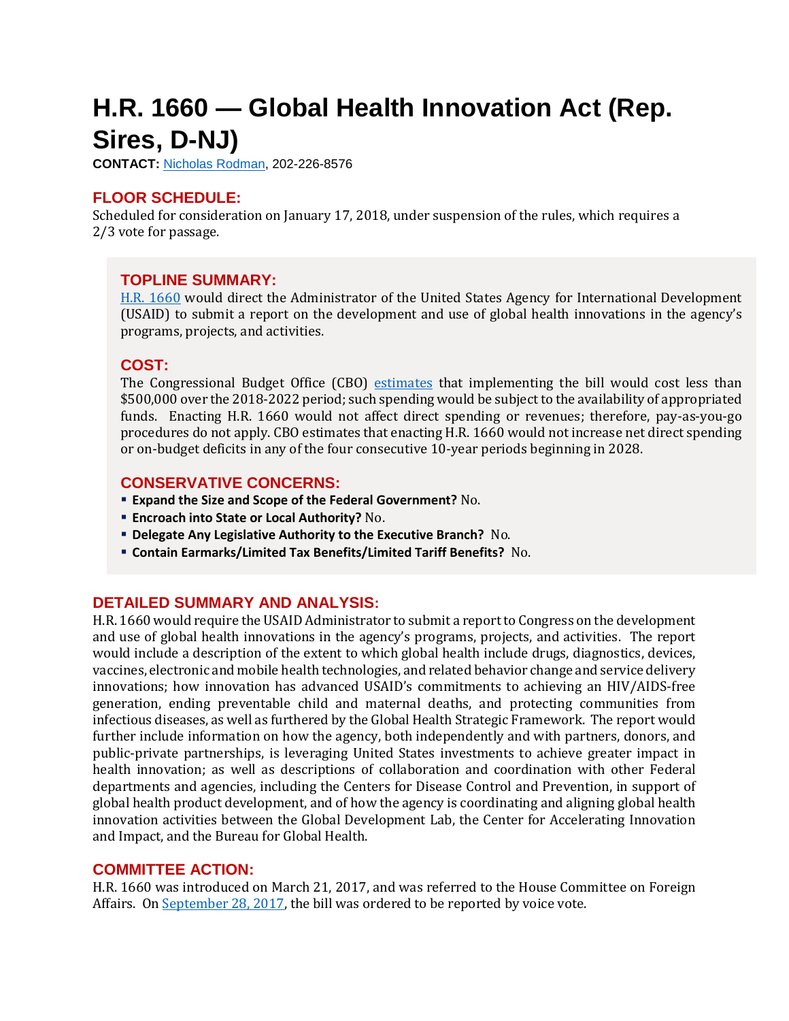## <span id="page-5-0"></span>**H.R. 1660 — Global Health Innovation Act (Rep. Sires, D-NJ)**

**CONTACT:** [Nicholas Rodman,](mailto:nicholas.rodman@mail.house.gov) 202-226-8576

## **FLOOR SCHEDULE:**

Scheduled for consideration on January 17, 2018, under suspension of the rules, which requires a 2/3 vote for passage.

## **TOPLINE SUMMARY:**

H.R. [1660](http://docs.house.gov/billsthisweek/20180115/HR1660.pdf) would direct the Administrator of the United States Agency for International Development (USAID) to submit a report on the development and use of global health innovations in the agency's programs, projects, and activities.

## **COST:**

The Congressional Budget Office (CBO) [estimates](https://www.cbo.gov/system/files/115th-congress-2017-2018/costestimate/hr1660.pdf) that implementing the bill would cost less than \$500,000 over the 2018-2022 period; such spending would be subject to the availability of appropriated funds. Enacting H.R. 1660 would not affect direct spending or revenues; therefore, pay-as-you-go procedures do not apply. CBO estimates that enacting H.R. 1660 would not increase net direct spending or on-budget deficits in any of the four consecutive 10-year periods beginning in 2028.

## **CONSERVATIVE CONCERNS:**

- **Expand the Size and Scope of the Federal Government?** No.
- **Encroach into State or Local Authority?** No.
- **Delegate Any Legislative Authority to the Executive Branch?** No.
- **Contain Earmarks/Limited Tax Benefits/Limited Tariff Benefits?** No.

## **DETAILED SUMMARY AND ANALYSIS:**

H.R. 1660 would require the USAID Administrator to submit a report to Congress on the development and use of global health innovations in the agency's programs, projects, and activities. The report would include a description of the extent to which global health include drugs, diagnostics, devices, vaccines, electronic and mobile health technologies, and related behavior change and service delivery innovations; how innovation has advanced USAID's commitments to achieving an HIV/AIDS-free generation, ending preventable child and maternal deaths, and protecting communities from infectious diseases, as well as furthered by the Global Health Strategic Framework. The report would further include information on how the agency, both independently and with partners, donors, and public-private partnerships, is leveraging United States investments to achieve greater impact in health innovation; as well as descriptions of collaboration and coordination with other Federal departments and agencies, including the Centers for Disease Control and Prevention, in support of global health product development, and of how the agency is coordinating and aligning global health innovation activities between the Global Development Lab, the Center for Accelerating Innovation and Impact, and the Bureau for Global Health.

## **COMMITTEE ACTION:**

H.R. 1660 was introduced on March 21, 2017, and was referred to the House Committee on Foreign Affairs. On [September 28, 2017,](https://foreignaffairs.house.gov/markup/markup-h-res-422-h-r-425-h-r-1196-h-r-2658-h-r-3320-h-r-3329-h-r-3342-h-r-3445/) the bill was ordered to be reported by voice vote.